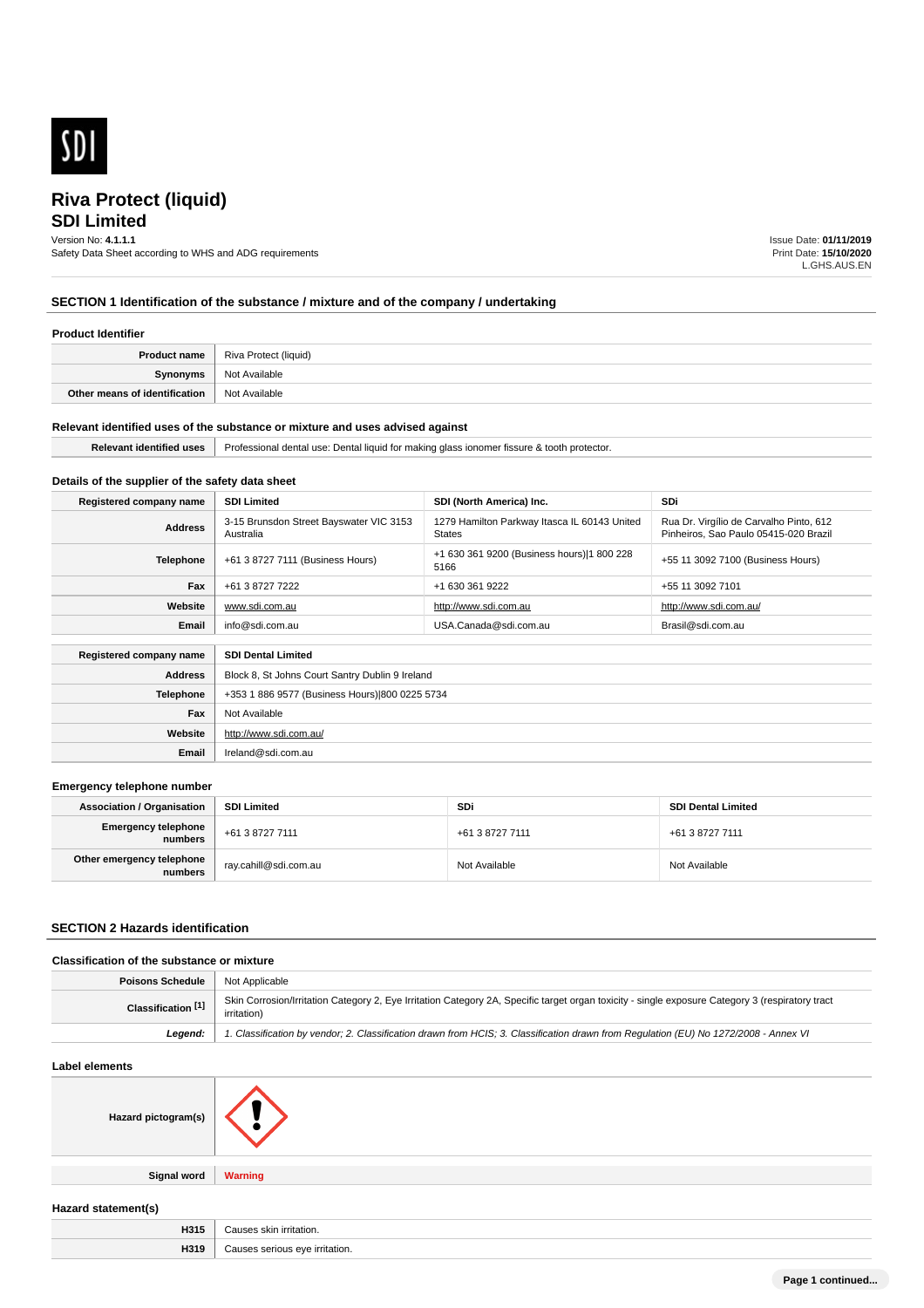

# **SDI Limited**

Version No: **4.1.1.1**

Safety Data Sheet according to WHS and ADG requirements

Issue Date: **01/11/2019** Print Date: **15/10/2020** L.GHS.AUS.EN

# **SECTION 1 Identification of the substance / mixture and of the company / undertaking**

### **Product Identifier**

|                               | <b>Product name</b>   Riva Protect (liquid) |
|-------------------------------|---------------------------------------------|
| Synonyms                      | Not Available                               |
| Other means of identification | Not Available                               |

### **Relevant identified uses of the substance or mixture and uses advised against**

**Email** Ireland@sdi.com.au

| <b>Relevant</b><br><b>Gentified</b><br>a uses | 1 for making<br>. Dental<br>a alass ionomer fissure.<br>. liauid<br>dental use:<br>notector.<br>Professional<br>. t∩∩tł |
|-----------------------------------------------|-------------------------------------------------------------------------------------------------------------------------|
|                                               |                                                                                                                         |

# **Details of the supplier of the safety data sheet**

| Registered company name | <b>SDI Limited</b>                                   | SDI (North America) Inc.                                      | <b>SDi</b>                                                                       |
|-------------------------|------------------------------------------------------|---------------------------------------------------------------|----------------------------------------------------------------------------------|
| <b>Address</b>          | 3-15 Brunsdon Street Bayswater VIC 3153<br>Australia | 1279 Hamilton Parkway Itasca IL 60143 United<br><b>States</b> | Rua Dr. Virgílio de Carvalho Pinto, 612<br>Pinheiros, Sao Paulo 05415-020 Brazil |
| <b>Telephone</b>        | +61 3 8727 7111 (Business Hours)                     | +1 630 361 9200 (Business hours) 1 800 228<br>5166            | +55 11 3092 7100 (Business Hours)                                                |
| Fax                     | +61 3 8727 7222                                      | +1 630 361 9222                                               | +55 11 3092 7101                                                                 |
| Website                 | www.sdi.com.au                                       | http://www.sdi.com.au                                         | http://www.sdi.com.au/                                                           |
| Email                   | info@sdi.com.au                                      | USA.Canada@sdi.com.au                                         | Brasil@sdi.com.au                                                                |
| Registered company name | <b>SDI Dental Limited</b>                            |                                                               |                                                                                  |
| <b>Address</b>          | Block 8, St Johns Court Santry Dublin 9 Ireland      |                                                               |                                                                                  |
| <b>Telephone</b>        | +353 1 886 9577 (Business Hours) 800 0225 5734       |                                                               |                                                                                  |
| Fax                     | Not Available                                        |                                                               |                                                                                  |
| Website                 | http://www.sdi.com.au/                               |                                                               |                                                                                  |

### **Emergency telephone number**

| <b>Association / Organisation</b>     | <b>SDI Limited</b>    | SDi             | <b>SDI Dental Limited</b> |
|---------------------------------------|-----------------------|-----------------|---------------------------|
| <b>Emergency telephone</b><br>numbers | +61 3 8727 7111       | +61 3 8727 7111 | +61 3 8727 7111           |
| Other emergency telephone<br>numbers  | ray.cahill@sdi.com.au | Not Available   | Not Available             |

### **SECTION 2 Hazards identification**

# **Classification of the substance or mixture**

| <b>Poisons Schedule   Not Applicable</b> |                                                                                                                                                                 |
|------------------------------------------|-----------------------------------------------------------------------------------------------------------------------------------------------------------------|
| Classification <sup>[1]</sup>            | Skin Corrosion/Irritation Category 2, Eye Irritation Category 2A, Specific target organ toxicity - single exposure Category 3 (respiratory tract<br>irritation) |
| Leaend:                                  | 1. Classification by vendor; 2. Classification drawn from HCIS; 3. Classification drawn from Requlation (EU) No 1272/2008 - Annex VI                            |

### **Label elements**

| Hazard pictogram(s) |                |
|---------------------|----------------|
| <b>Signal word</b>  | <b>Warning</b> |

# **Hazard statement(s)**

| H315 | alein<br>ritation.<br>.             |
|------|-------------------------------------|
| H319 | irritation.<br>010<br>erious :<br>. |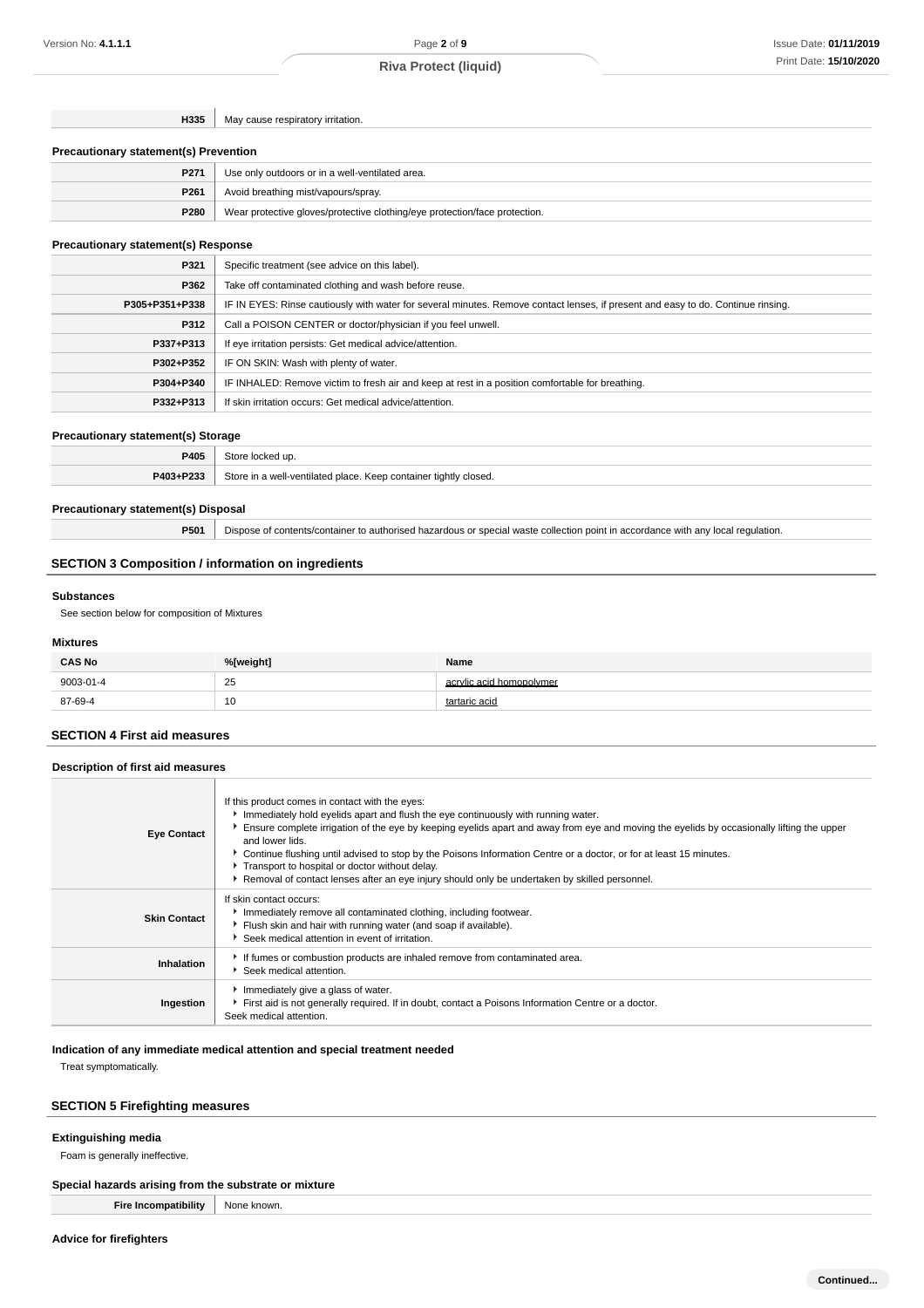**H335** May cause respiratory irritation.

### **Precautionary statement(s) Prevention**

| P271 | Use only outdoors or in a well-ventilated area.                            |
|------|----------------------------------------------------------------------------|
| P261 | Avoid breathing mist/vapours/spray.                                        |
| P280 | Wear protective gloves/protective clothing/eye protection/face protection. |

# **Precautionary statement(s) Response**

| P321           | Specific treatment (see advice on this label).                                                                                   |
|----------------|----------------------------------------------------------------------------------------------------------------------------------|
| P362           | Take off contaminated clothing and wash before reuse.                                                                            |
| P305+P351+P338 | IF IN EYES: Rinse cautiously with water for several minutes. Remove contact lenses, if present and easy to do. Continue rinsing. |
| P312           | Call a POISON CENTER or doctor/physician if you feel unwell.                                                                     |
| P337+P313      | If eye irritation persists: Get medical advice/attention.                                                                        |
| P302+P352      | IF ON SKIN: Wash with plenty of water.                                                                                           |
| P304+P340      | IF INHALED: Remove victim to fresh air and keep at rest in a position comfortable for breathing.                                 |
| P332+P313      | If skin irritation occurs: Get medical advice/attention.                                                                         |

### **Precautionary statement(s) Storage**

| P405      | ΠŊ                                                                        |
|-----------|---------------------------------------------------------------------------|
| P403+P233 | I place. Keep container tightly closed.<br>3tore<br>well-venti<br>tilated |

### **Precautionary statement(s) Disposal**

**P501** Dispose of contents/container to authorised hazardous or special waste collection point in accordance with any local regulation.

# **SECTION 3 Composition / information on ingredients**

### **Substances**

See section below for composition of Mixtures

### **Mixtures**

| <b>CAS No</b> | %[weight]    | Name                     |
|---------------|--------------|--------------------------|
| 9003-01-4     | 25<br>$\sim$ | acrylic acid homopolymer |
| 87-69-4       | 10           | tartaric acid            |

### **SECTION 4 First aid measures**

# **Description of first aid measures**

| <b>Eye Contact</b>  | If this product comes in contact with the eyes:<br>Immediately hold eyelids apart and flush the eye continuously with running water.<br>Ensure complete irrigation of the eye by keeping eyelids apart and away from eye and moving the eyelids by occasionally lifting the upper<br>and lower lids.<br>► Continue flushing until advised to stop by the Poisons Information Centre or a doctor, or for at least 15 minutes.<br>Transport to hospital or doctor without delay.<br>Removal of contact lenses after an eye injury should only be undertaken by skilled personnel. |
|---------------------|---------------------------------------------------------------------------------------------------------------------------------------------------------------------------------------------------------------------------------------------------------------------------------------------------------------------------------------------------------------------------------------------------------------------------------------------------------------------------------------------------------------------------------------------------------------------------------|
| <b>Skin Contact</b> | If skin contact occurs:<br>Inmediately remove all contaminated clothing, including footwear.<br>Flush skin and hair with running water (and soap if available).<br>▶ Seek medical attention in event of irritation.                                                                                                                                                                                                                                                                                                                                                             |
| Inhalation          | If fumes or combustion products are inhaled remove from contaminated area.<br>Seek medical attention.                                                                                                                                                                                                                                                                                                                                                                                                                                                                           |
| Ingestion           | Immediately give a glass of water.<br>First aid is not generally required. If in doubt, contact a Poisons Information Centre or a doctor.<br>Seek medical attention.                                                                                                                                                                                                                                                                                                                                                                                                            |

### **Indication of any immediate medical attention and special treatment needed**

Treat symptomatically.

# **SECTION 5 Firefighting measures**

# **Extinguishing media**

Foam is generally ineffective.

# **Special hazards arising from the substrate or mixture**

**Fire Incompatibility** None known.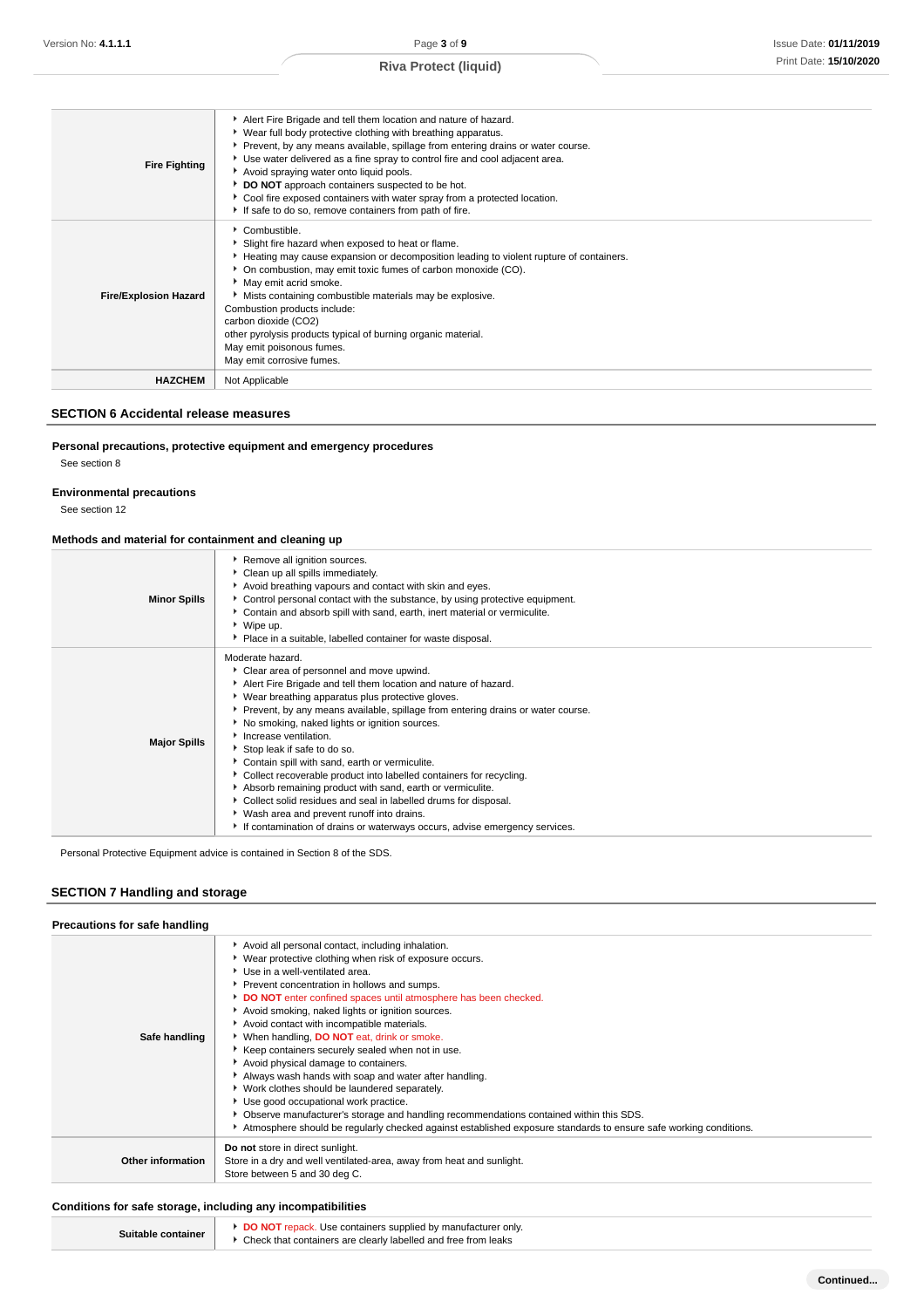| <b>Fire Fighting</b>         | Alert Fire Brigade and tell them location and nature of hazard.<br>▶ Wear full body protective clothing with breathing apparatus.<br>▶ Prevent, by any means available, spillage from entering drains or water course.<br>Use water delivered as a fine spray to control fire and cool adjacent area.<br>Avoid spraying water onto liquid pools.<br>DO NOT approach containers suspected to be hot.<br>Cool fire exposed containers with water spray from a protected location.<br>If safe to do so, remove containers from path of fire. |
|------------------------------|-------------------------------------------------------------------------------------------------------------------------------------------------------------------------------------------------------------------------------------------------------------------------------------------------------------------------------------------------------------------------------------------------------------------------------------------------------------------------------------------------------------------------------------------|
| <b>Fire/Explosion Hazard</b> | Combustible.<br>Slight fire hazard when exposed to heat or flame.<br>Heating may cause expansion or decomposition leading to violent rupture of containers.<br>• On combustion, may emit toxic fumes of carbon monoxide (CO).<br>May emit acrid smoke.<br>Mists containing combustible materials may be explosive.<br>Combustion products include:<br>carbon dioxide (CO2)<br>other pyrolysis products typical of burning organic material.<br>May emit poisonous fumes.<br>May emit corrosive fumes.                                     |
| <b>HAZCHEM</b>               | Not Applicable                                                                                                                                                                                                                                                                                                                                                                                                                                                                                                                            |

### **SECTION 6 Accidental release measures**

# **Personal precautions, protective equipment and emergency procedures**

See section 8

### **Environmental precautions**

See section 12

### **Methods and material for containment and cleaning up**

| <b>Minor Spills</b> | Remove all ignition sources.<br>• Clean up all spills immediately.<br>Avoid breathing vapours and contact with skin and eyes.<br>▶ Control personal contact with the substance, by using protective equipment.<br>Contain and absorb spill with sand, earth, inert material or vermiculite.<br>▶ Wipe up.<br>• Place in a suitable, labelled container for waste disposal.                                                                                                                                                                                                                                                                                                                                                                                                |
|---------------------|---------------------------------------------------------------------------------------------------------------------------------------------------------------------------------------------------------------------------------------------------------------------------------------------------------------------------------------------------------------------------------------------------------------------------------------------------------------------------------------------------------------------------------------------------------------------------------------------------------------------------------------------------------------------------------------------------------------------------------------------------------------------------|
| <b>Major Spills</b> | Moderate hazard.<br>Clear area of personnel and move upwind.<br>Alert Fire Brigade and tell them location and nature of hazard.<br>▶ Wear breathing apparatus plus protective gloves.<br>▶ Prevent, by any means available, spillage from entering drains or water course.<br>No smoking, naked lights or ignition sources.<br>Increase ventilation.<br>Stop leak if safe to do so.<br>Contain spill with sand, earth or vermiculite.<br>Collect recoverable product into labelled containers for recycling.<br>Absorb remaining product with sand, earth or vermiculite.<br>Collect solid residues and seal in labelled drums for disposal.<br>▶ Wash area and prevent runoff into drains.<br>If contamination of drains or waterways occurs, advise emergency services. |

Personal Protective Equipment advice is contained in Section 8 of the SDS.

# **SECTION 7 Handling and storage**

| Precautions for safe handling |                                                                                                                                                                                                                                                                                                                                                                                                                                                                                                                                                                                                                                                                                                                                                                                                                                                                                       |
|-------------------------------|---------------------------------------------------------------------------------------------------------------------------------------------------------------------------------------------------------------------------------------------------------------------------------------------------------------------------------------------------------------------------------------------------------------------------------------------------------------------------------------------------------------------------------------------------------------------------------------------------------------------------------------------------------------------------------------------------------------------------------------------------------------------------------------------------------------------------------------------------------------------------------------|
| Safe handling                 | Avoid all personal contact, including inhalation.<br>▶ Wear protective clothing when risk of exposure occurs.<br>Use in a well-ventilated area.<br>Prevent concentration in hollows and sumps.<br>DO NOT enter confined spaces until atmosphere has been checked.<br>Avoid smoking, naked lights or ignition sources.<br>Avoid contact with incompatible materials.<br>When handling, <b>DO NOT</b> eat, drink or smoke.<br>Keep containers securely sealed when not in use.<br>Avoid physical damage to containers.<br>Always wash hands with soap and water after handling.<br>• Work clothes should be laundered separately.<br>Use good occupational work practice.<br>Observe manufacturer's storage and handling recommendations contained within this SDS.<br>Atmosphere should be regularly checked against established exposure standards to ensure safe working conditions. |
| Other information             | Do not store in direct sunlight.<br>Store in a dry and well ventilated-area, away from heat and sunlight.<br>Store between 5 and 30 deg C.                                                                                                                                                                                                                                                                                                                                                                                                                                                                                                                                                                                                                                                                                                                                            |

# **Conditions for safe storage, including any incompatibilities**

| Suitable container | <b>DO NOT</b> repack. Use containers supplied by manufacturer only.<br>Check that containers are clearly labelled and free from leaks |
|--------------------|---------------------------------------------------------------------------------------------------------------------------------------|
|--------------------|---------------------------------------------------------------------------------------------------------------------------------------|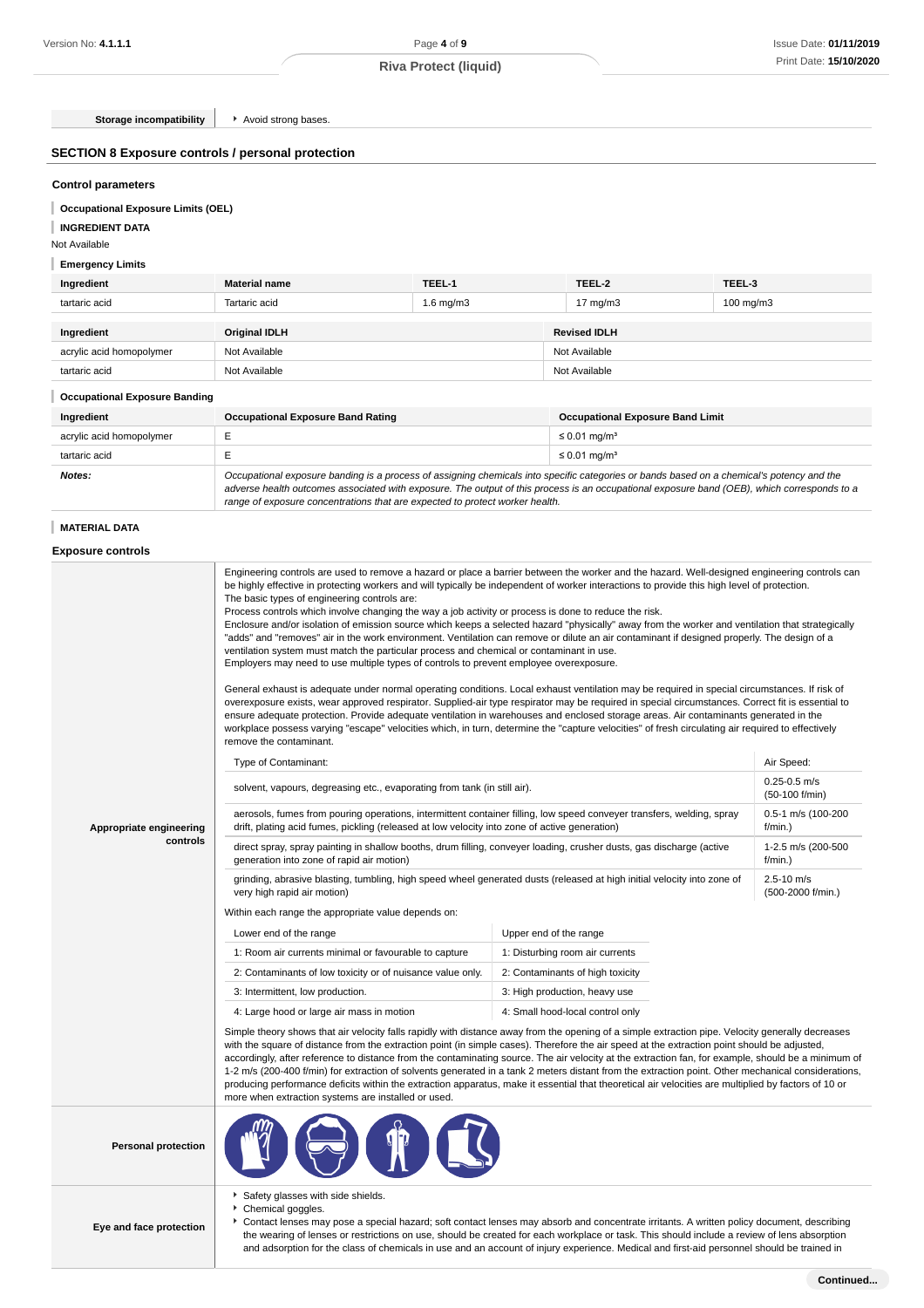**Storage incompatibility F** Avoid strong bases.

### **SECTION 8 Exposure controls / personal protection**

### **Control parameters**

**Occupational Exposure Limits (OEL)**

# **INGREDIENT DATA**

Not Available

# **Emergency Limits**

| Ingredient               | <b>Material name</b> | TEEL-1         | TEEL-2              | TEEL-3         |
|--------------------------|----------------------|----------------|---------------------|----------------|
| tartaric acid            | Tartaric acid        | $1.6$ mg/m $3$ | $17 \text{ mg/m}$   | $100$ mg/m $3$ |
|                          |                      |                |                     |                |
| Ingredient               | Original IDLH        |                | <b>Revised IDLH</b> |                |
| acrylic acid homopolymer | Not Available        |                | Not Available       |                |
| tartaric acid            | Not Available        |                | Not Available       |                |

### **Occupational Exposure Banding**

| Ingredient               | <b>Occupational Exposure Band Rating</b>                                                                                                                                                                                                                                                                                                                                 | <b>Occupational Exposure Band Limit</b> |
|--------------------------|--------------------------------------------------------------------------------------------------------------------------------------------------------------------------------------------------------------------------------------------------------------------------------------------------------------------------------------------------------------------------|-----------------------------------------|
| acrylic acid homopolymer |                                                                                                                                                                                                                                                                                                                                                                          | $\leq$ 0.01 mg/m <sup>3</sup>           |
| tartaric acid            |                                                                                                                                                                                                                                                                                                                                                                          | $\leq$ 0.01 mg/m <sup>3</sup>           |
| Notes:                   | Occupational exposure banding is a process of assigning chemicals into specific categories or bands based on a chemical's potency and the<br>adverse health outcomes associated with exposure. The output of this process is an occupational exposure band (OEB), which corresponds to a<br>range of exposure concentrations that are expected to protect worker health. |                                         |

### **MATERIAL DATA**

# **Exposure controls**

|                            | Engineering controls are used to remove a hazard or place a barrier between the worker and the hazard. Well-designed engineering controls can<br>be highly effective in protecting workers and will typically be independent of worker interactions to provide this high level of protection.<br>The basic types of engineering controls are:<br>Process controls which involve changing the way a job activity or process is done to reduce the risk.<br>Enclosure and/or isolation of emission source which keeps a selected hazard "physically" away from the worker and ventilation that strategically<br>"adds" and "removes" air in the work environment. Ventilation can remove or dilute an air contaminant if designed properly. The design of a<br>ventilation system must match the particular process and chemical or contaminant in use.<br>Employers may need to use multiple types of controls to prevent employee overexposure.<br>General exhaust is adequate under normal operating conditions. Local exhaust ventilation may be required in special circumstances. If risk of<br>overexposure exists, wear approved respirator. Supplied-air type respirator may be required in special circumstances. Correct fit is essential to<br>ensure adequate protection. Provide adequate ventilation in warehouses and enclosed storage areas. Air contaminants generated in the<br>workplace possess varying "escape" velocities which, in turn, determine the "capture velocities" of fresh circulating air required to effectively<br>remove the contaminant. |                                                                                                                                                                                                                                                                                            |                                     |
|----------------------------|-------------------------------------------------------------------------------------------------------------------------------------------------------------------------------------------------------------------------------------------------------------------------------------------------------------------------------------------------------------------------------------------------------------------------------------------------------------------------------------------------------------------------------------------------------------------------------------------------------------------------------------------------------------------------------------------------------------------------------------------------------------------------------------------------------------------------------------------------------------------------------------------------------------------------------------------------------------------------------------------------------------------------------------------------------------------------------------------------------------------------------------------------------------------------------------------------------------------------------------------------------------------------------------------------------------------------------------------------------------------------------------------------------------------------------------------------------------------------------------------------------------------------------------------------------------------------------|--------------------------------------------------------------------------------------------------------------------------------------------------------------------------------------------------------------------------------------------------------------------------------------------|-------------------------------------|
|                            | Type of Contaminant:                                                                                                                                                                                                                                                                                                                                                                                                                                                                                                                                                                                                                                                                                                                                                                                                                                                                                                                                                                                                                                                                                                                                                                                                                                                                                                                                                                                                                                                                                                                                                          |                                                                                                                                                                                                                                                                                            | Air Speed:<br>$0.25 - 0.5$ m/s      |
|                            | solvent, vapours, degreasing etc., evaporating from tank (in still air).                                                                                                                                                                                                                                                                                                                                                                                                                                                                                                                                                                                                                                                                                                                                                                                                                                                                                                                                                                                                                                                                                                                                                                                                                                                                                                                                                                                                                                                                                                      |                                                                                                                                                                                                                                                                                            | (50-100 f/min)                      |
| Appropriate engineering    | aerosols, fumes from pouring operations, intermittent container filling, low speed conveyer transfers, welding, spray<br>drift, plating acid fumes, pickling (released at low velocity into zone of active generation)                                                                                                                                                                                                                                                                                                                                                                                                                                                                                                                                                                                                                                                                                                                                                                                                                                                                                                                                                                                                                                                                                                                                                                                                                                                                                                                                                        |                                                                                                                                                                                                                                                                                            | 0.5-1 m/s (100-200<br>f/min.)       |
| controls                   | direct spray, spray painting in shallow booths, drum filling, conveyer loading, crusher dusts, gas discharge (active<br>generation into zone of rapid air motion)                                                                                                                                                                                                                                                                                                                                                                                                                                                                                                                                                                                                                                                                                                                                                                                                                                                                                                                                                                                                                                                                                                                                                                                                                                                                                                                                                                                                             |                                                                                                                                                                                                                                                                                            | 1-2.5 m/s (200-500<br>$f/min.$ )    |
|                            | grinding, abrasive blasting, tumbling, high speed wheel generated dusts (released at high initial velocity into zone of<br>very high rapid air motion)                                                                                                                                                                                                                                                                                                                                                                                                                                                                                                                                                                                                                                                                                                                                                                                                                                                                                                                                                                                                                                                                                                                                                                                                                                                                                                                                                                                                                        |                                                                                                                                                                                                                                                                                            | $2.5 - 10$ m/s<br>(500-2000 f/min.) |
|                            | Within each range the appropriate value depends on:                                                                                                                                                                                                                                                                                                                                                                                                                                                                                                                                                                                                                                                                                                                                                                                                                                                                                                                                                                                                                                                                                                                                                                                                                                                                                                                                                                                                                                                                                                                           |                                                                                                                                                                                                                                                                                            |                                     |
|                            | Lower end of the range                                                                                                                                                                                                                                                                                                                                                                                                                                                                                                                                                                                                                                                                                                                                                                                                                                                                                                                                                                                                                                                                                                                                                                                                                                                                                                                                                                                                                                                                                                                                                        | Upper end of the range                                                                                                                                                                                                                                                                     |                                     |
|                            | 1: Room air currents minimal or favourable to capture                                                                                                                                                                                                                                                                                                                                                                                                                                                                                                                                                                                                                                                                                                                                                                                                                                                                                                                                                                                                                                                                                                                                                                                                                                                                                                                                                                                                                                                                                                                         | 1: Disturbing room air currents                                                                                                                                                                                                                                                            |                                     |
|                            | 2: Contaminants of low toxicity or of nuisance value only.                                                                                                                                                                                                                                                                                                                                                                                                                                                                                                                                                                                                                                                                                                                                                                                                                                                                                                                                                                                                                                                                                                                                                                                                                                                                                                                                                                                                                                                                                                                    | 2: Contaminants of high toxicity                                                                                                                                                                                                                                                           |                                     |
|                            | 3: Intermittent, low production.                                                                                                                                                                                                                                                                                                                                                                                                                                                                                                                                                                                                                                                                                                                                                                                                                                                                                                                                                                                                                                                                                                                                                                                                                                                                                                                                                                                                                                                                                                                                              | 3: High production, heavy use                                                                                                                                                                                                                                                              |                                     |
|                            | 4: Large hood or large air mass in motion                                                                                                                                                                                                                                                                                                                                                                                                                                                                                                                                                                                                                                                                                                                                                                                                                                                                                                                                                                                                                                                                                                                                                                                                                                                                                                                                                                                                                                                                                                                                     | 4: Small hood-local control only                                                                                                                                                                                                                                                           |                                     |
|                            | Simple theory shows that air velocity falls rapidly with distance away from the opening of a simple extraction pipe. Velocity generally decreases<br>with the square of distance from the extraction point (in simple cases). Therefore the air speed at the extraction point should be adjusted,<br>accordingly, after reference to distance from the contaminating source. The air velocity at the extraction fan, for example, should be a minimum of<br>1-2 m/s (200-400 f/min) for extraction of solvents generated in a tank 2 meters distant from the extraction point. Other mechanical considerations,<br>producing performance deficits within the extraction apparatus, make it essential that theoretical air velocities are multiplied by factors of 10 or<br>more when extraction systems are installed or used.                                                                                                                                                                                                                                                                                                                                                                                                                                                                                                                                                                                                                                                                                                                                                |                                                                                                                                                                                                                                                                                            |                                     |
| <b>Personal protection</b> |                                                                                                                                                                                                                                                                                                                                                                                                                                                                                                                                                                                                                                                                                                                                                                                                                                                                                                                                                                                                                                                                                                                                                                                                                                                                                                                                                                                                                                                                                                                                                                               |                                                                                                                                                                                                                                                                                            |                                     |
| Eye and face protection    | Safety glasses with side shields.<br>Chemical goggles.                                                                                                                                                                                                                                                                                                                                                                                                                                                                                                                                                                                                                                                                                                                                                                                                                                                                                                                                                                                                                                                                                                                                                                                                                                                                                                                                                                                                                                                                                                                        | ▶ Contact lenses may pose a special hazard; soft contact lenses may absorb and concentrate irritants. A written policy document, describing<br>the wearing of lenses or restrictions on use, should be created for each workplace or task. This should include a review of lens absorption |                                     |

and adsorption for the class of chemicals in use and an account of injury experience. Medical and first-aid personnel should be trained in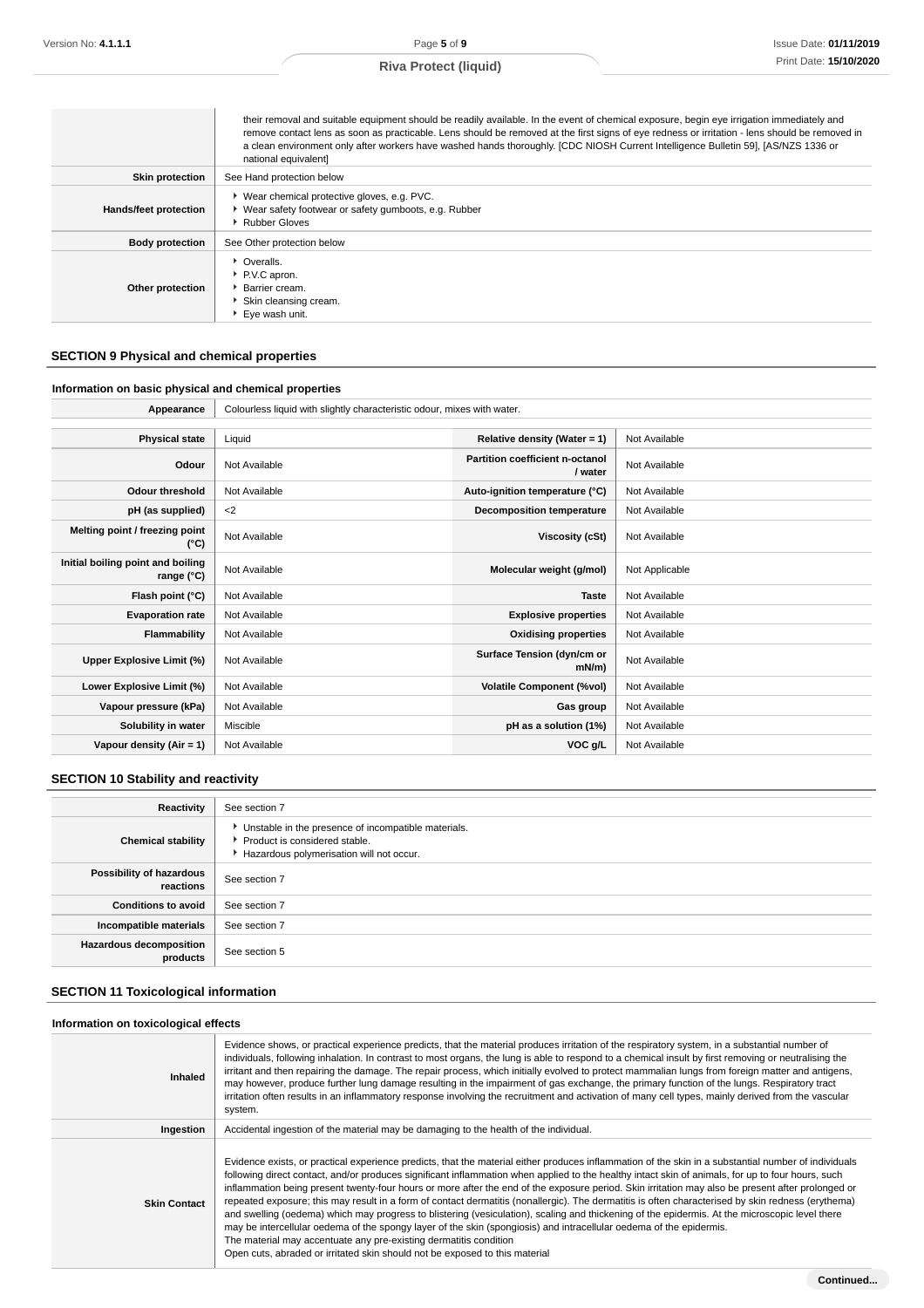|                        | their removal and suitable equipment should be readily available. In the event of chemical exposure, begin eye irrigation immediately and<br>remove contact lens as soon as practicable. Lens should be removed at the first signs of eye redness or irritation - lens should be removed in<br>a clean environment only after workers have washed hands thoroughly. [CDC NIOSH Current Intelligence Bulletin 59], [AS/NZS 1336 or<br>national equivalent] |
|------------------------|-----------------------------------------------------------------------------------------------------------------------------------------------------------------------------------------------------------------------------------------------------------------------------------------------------------------------------------------------------------------------------------------------------------------------------------------------------------|
| <b>Skin protection</b> | See Hand protection below                                                                                                                                                                                                                                                                                                                                                                                                                                 |
| Hands/feet protection  | ▶ Wear chemical protective gloves, e.g. PVC.<br>▶ Wear safety footwear or safety gumboots, e.g. Rubber<br>Rubber Gloves                                                                                                                                                                                                                                                                                                                                   |
| <b>Body protection</b> | See Other protection below                                                                                                                                                                                                                                                                                                                                                                                                                                |
| Other protection       | • Overalls.<br>P.V.C apron.<br><b>Barrier cream.</b><br>Skin cleansing cream.<br>Eye wash unit.                                                                                                                                                                                                                                                                                                                                                           |

# **SECTION 9 Physical and chemical properties**

# **Information on basic physical and chemical properties**

| Appearance                                      | Colourless liquid with slightly characteristic odour, mixes with water. |                                            |                |
|-------------------------------------------------|-------------------------------------------------------------------------|--------------------------------------------|----------------|
|                                                 |                                                                         |                                            |                |
| <b>Physical state</b>                           | Liquid                                                                  | Relative density (Water = 1)               | Not Available  |
| Odour                                           | Not Available                                                           | Partition coefficient n-octanol<br>/ water | Not Available  |
| <b>Odour threshold</b>                          | Not Available                                                           | Auto-ignition temperature (°C)             | Not Available  |
| pH (as supplied)                                | $2$                                                                     | Decomposition temperature                  | Not Available  |
| Melting point / freezing point<br>(°C)          | Not Available                                                           | Viscosity (cSt)                            | Not Available  |
| Initial boiling point and boiling<br>range (°C) | Not Available                                                           | Molecular weight (g/mol)                   | Not Applicable |
| Flash point (°C)                                | Not Available                                                           | <b>Taste</b>                               | Not Available  |
| <b>Evaporation rate</b>                         | Not Available                                                           | <b>Explosive properties</b>                | Not Available  |
| Flammability                                    | Not Available                                                           | <b>Oxidising properties</b>                | Not Available  |
| Upper Explosive Limit (%)                       | Not Available                                                           | Surface Tension (dyn/cm or<br>mN/m         | Not Available  |
| Lower Explosive Limit (%)                       | Not Available                                                           | <b>Volatile Component (%vol)</b>           | Not Available  |
| Vapour pressure (kPa)                           | Not Available                                                           | Gas group                                  | Not Available  |
| Solubility in water                             | Miscible                                                                | pH as a solution (1%)                      | Not Available  |
| Vapour density $(Air = 1)$                      | Not Available                                                           | VOC g/L                                    | Not Available  |

# **SECTION 10 Stability and reactivity**

| Reactivity                                 | See section 7                                                                                                                      |
|--------------------------------------------|------------------------------------------------------------------------------------------------------------------------------------|
| <b>Chemical stability</b>                  | • Unstable in the presence of incompatible materials.<br>Product is considered stable.<br>Hazardous polymerisation will not occur. |
| Possibility of hazardous<br>reactions      | See section 7                                                                                                                      |
| <b>Conditions to avoid</b>                 | See section 7                                                                                                                      |
| Incompatible materials                     | See section 7                                                                                                                      |
| <b>Hazardous decomposition</b><br>products | See section 5                                                                                                                      |

# **SECTION 11 Toxicological information**

### **Information on toxicological effects**

| Inhaled             | Evidence shows, or practical experience predicts, that the material produces irritation of the respiratory system, in a substantial number of<br>individuals, following inhalation. In contrast to most organs, the lung is able to respond to a chemical insult by first removing or neutralising the<br>irritant and then repairing the damage. The repair process, which initially evolved to protect mammalian lungs from foreign matter and antigens,<br>may however, produce further lung damage resulting in the impairment of gas exchange, the primary function of the lungs. Respiratory tract<br>irritation often results in an inflammatory response involving the recruitment and activation of many cell types, mainly derived from the vascular<br>system.                                                                                                                                                                                                                                                                         |
|---------------------|---------------------------------------------------------------------------------------------------------------------------------------------------------------------------------------------------------------------------------------------------------------------------------------------------------------------------------------------------------------------------------------------------------------------------------------------------------------------------------------------------------------------------------------------------------------------------------------------------------------------------------------------------------------------------------------------------------------------------------------------------------------------------------------------------------------------------------------------------------------------------------------------------------------------------------------------------------------------------------------------------------------------------------------------------|
| Ingestion           | Accidental ingestion of the material may be damaging to the health of the individual.                                                                                                                                                                                                                                                                                                                                                                                                                                                                                                                                                                                                                                                                                                                                                                                                                                                                                                                                                             |
| <b>Skin Contact</b> | Evidence exists, or practical experience predicts, that the material either produces inflammation of the skin in a substantial number of individuals<br>following direct contact, and/or produces significant inflammation when applied to the healthy intact skin of animals, for up to four hours, such<br>inflammation being present twenty-four hours or more after the end of the exposure period. Skin irritation may also be present after prolonged or<br>repeated exposure; this may result in a form of contact dermatitis (nonallergic). The dermatitis is often characterised by skin redness (erythema)<br>and swelling (oedema) which may progress to blistering (vesiculation), scaling and thickening of the epidermis. At the microscopic level there<br>may be intercellular oedema of the spongy layer of the skin (spongiosis) and intracellular oedema of the epidermis.<br>The material may accentuate any pre-existing dermatitis condition<br>Open cuts, abraded or irritated skin should not be exposed to this material |
|                     | Continued                                                                                                                                                                                                                                                                                                                                                                                                                                                                                                                                                                                                                                                                                                                                                                                                                                                                                                                                                                                                                                         |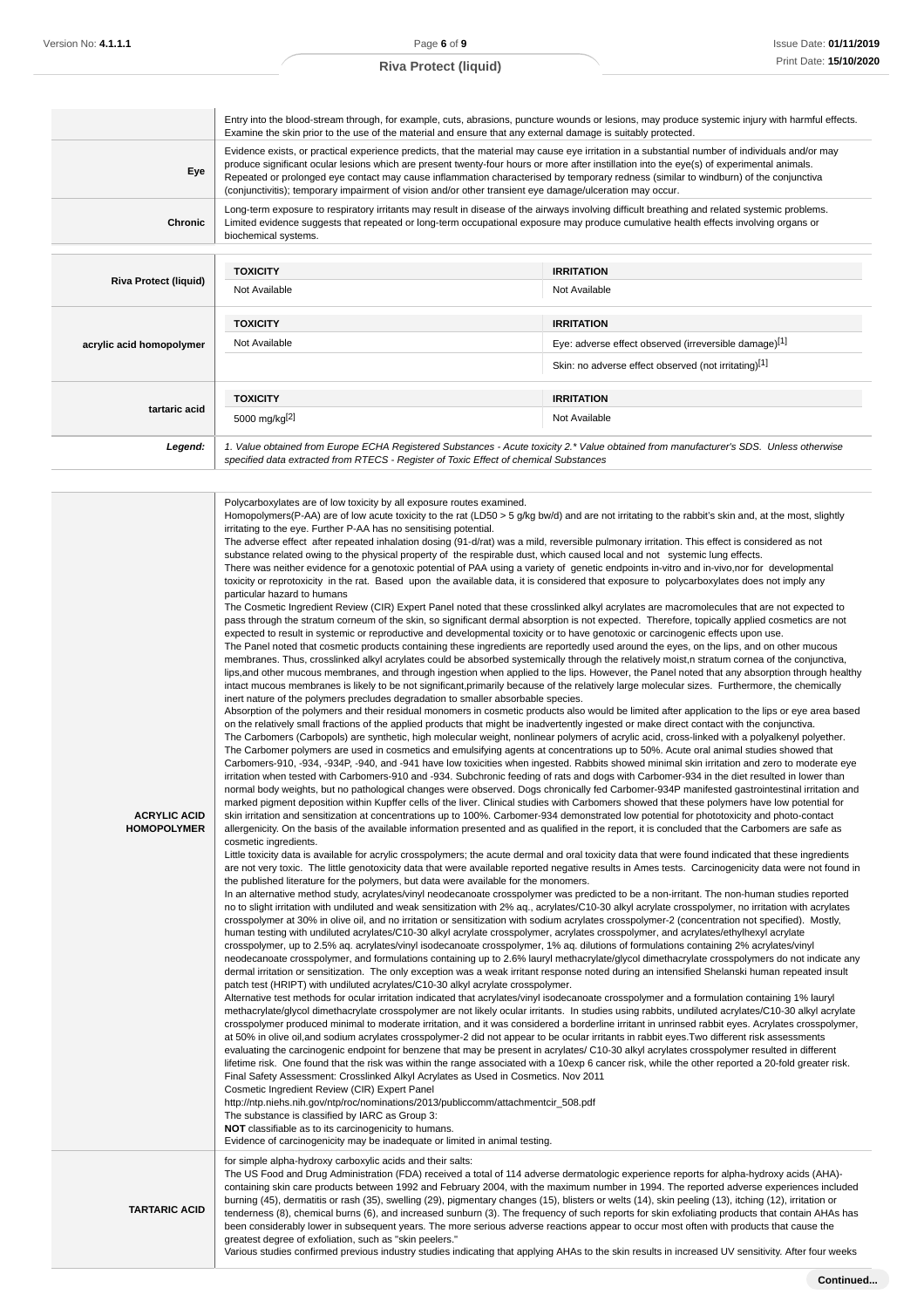| Eye                          | (conjunctivitis); temporary impairment of vision and/or other transient eye damage/ulceration may occur.                                                                                                        | Evidence exists, or practical experience predicts, that the material may cause eye irritation in a substantial number of individuals and/or may<br>produce significant ocular lesions which are present twenty-four hours or more after instillation into the eye(s) of experimental animals.<br>Repeated or prolonged eye contact may cause inflammation characterised by temporary redness (similar to windburn) of the conjunctiva |
|------------------------------|-----------------------------------------------------------------------------------------------------------------------------------------------------------------------------------------------------------------|---------------------------------------------------------------------------------------------------------------------------------------------------------------------------------------------------------------------------------------------------------------------------------------------------------------------------------------------------------------------------------------------------------------------------------------|
| Chronic                      | biochemical systems.                                                                                                                                                                                            | Long-term exposure to respiratory irritants may result in disease of the airways involving difficult breathing and related systemic problems.<br>Limited evidence suggests that repeated or long-term occupational exposure may produce cumulative health effects involving organs or                                                                                                                                                 |
|                              | <b>TOXICITY</b>                                                                                                                                                                                                 | <b>IRRITATION</b>                                                                                                                                                                                                                                                                                                                                                                                                                     |
| <b>Riva Protect (liquid)</b> | Not Available                                                                                                                                                                                                   | Not Available                                                                                                                                                                                                                                                                                                                                                                                                                         |
|                              |                                                                                                                                                                                                                 | <b>IRRITATION</b>                                                                                                                                                                                                                                                                                                                                                                                                                     |
|                              | <b>TOXICITY</b><br>Not Available                                                                                                                                                                                | Eye: adverse effect observed (irreversible damage)[1]                                                                                                                                                                                                                                                                                                                                                                                 |
| acrylic acid homopolymer     |                                                                                                                                                                                                                 | Skin: no adverse effect observed (not irritating)[1]                                                                                                                                                                                                                                                                                                                                                                                  |
|                              |                                                                                                                                                                                                                 |                                                                                                                                                                                                                                                                                                                                                                                                                                       |
| tartaric acid                | <b>TOXICITY</b>                                                                                                                                                                                                 | <b>IRRITATION</b>                                                                                                                                                                                                                                                                                                                                                                                                                     |
|                              | 5000 mg/kg <sup>[2]</sup>                                                                                                                                                                                       | Not Available                                                                                                                                                                                                                                                                                                                                                                                                                         |
| Legend:                      | specified data extracted from RTECS - Register of Toxic Effect of chemical Substances                                                                                                                           | 1. Value obtained from Europe ECHA Registered Substances - Acute toxicity 2.* Value obtained from manufacturer's SDS. Unless otherwise                                                                                                                                                                                                                                                                                                |
|                              | irritating to the eye. Further P-AA has no sensitising potential.<br>toxicity or reprotoxicity in the rat. Based upon the available data, it is considered that exposure to polycarboxylates does not imply any | The adverse effect after repeated inhalation dosing (91-d/rat) was a mild, reversible pulmonary irritation. This effect is considered as not<br>substance related owing to the physical property of the respirable dust, which caused local and not systemic lung effects.<br>There was neither evidence for a genotoxic potential of PAA using a variety of genetic endpoints in-vitro and in-vivo,nor for developmental             |

**TARTARIC ACID**

containing skin care products between 1992 and February 2004, with the maximum number in 1994. The reported adverse experiences included burning (45), dermatitis or rash (35), swelling (29), pigmentary changes (15), blisters or welts (14), skin peeling (13), itching (12), irritation or tenderness (8), chemical burns (6), and increased sunburn (3). The frequency of such reports for skin exfoliating products that contain AHAs has been considerably lower in subsequent years. The more serious adverse reactions appear to occur most often with products that cause the greatest degree of exfoliation, such as "skin peelers."

Various studies confirmed previous industry studies indicating that applying AHAs to the skin results in increased UV sensitivity. After four weeks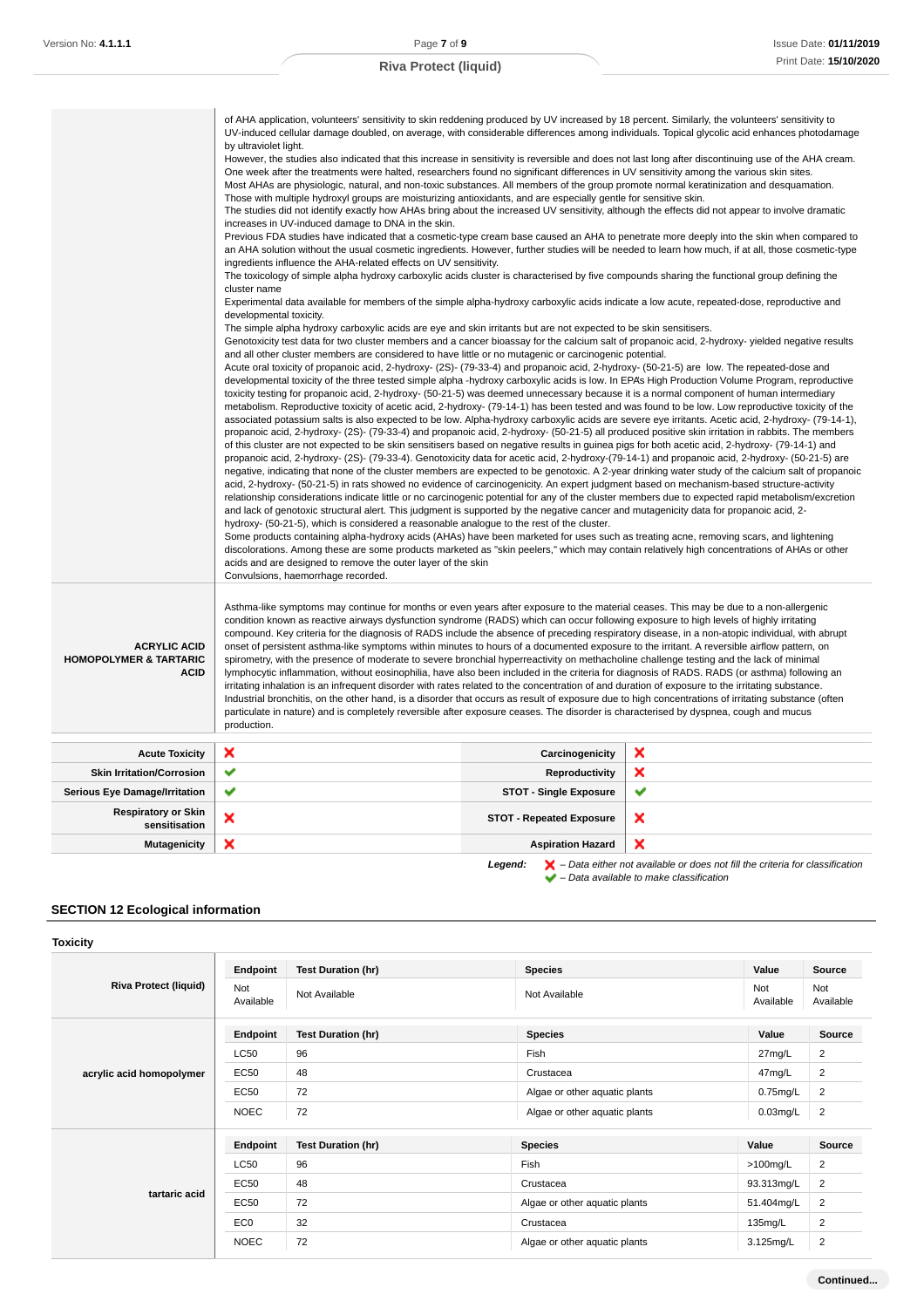|                                                                         | of AHA application, volunteers' sensitivity to skin reddening produced by UV increased by 18 percent. Similarly, the volunteers' sensitivity to<br>UV-induced cellular damage doubled, on average, with considerable differences among individuals. Topical glycolic acid enhances photodamage<br>by ultraviolet light.<br>However, the studies also indicated that this increase in sensitivity is reversible and does not last long after discontinuing use of the AHA cream.<br>One week after the treatments were halted, researchers found no significant differences in UV sensitivity among the various skin sites.<br>Most AHAs are physiologic, natural, and non-toxic substances. All members of the group promote normal keratinization and desquamation.<br>Those with multiple hydroxyl groups are moisturizing antioxidants, and are especially gentle for sensitive skin.<br>The studies did not identify exactly how AHAs bring about the increased UV sensitivity, although the effects did not appear to involve dramatic<br>increases in UV-induced damage to DNA in the skin.<br>Previous FDA studies have indicated that a cosmetic-type cream base caused an AHA to penetrate more deeply into the skin when compared to<br>an AHA solution without the usual cosmetic ingredients. However, further studies will be needed to learn how much, if at all, those cosmetic-type<br>ingredients influence the AHA-related effects on UV sensitivity.<br>The toxicology of simple alpha hydroxy carboxylic acids cluster is characterised by five compounds sharing the functional group defining the<br>cluster name<br>Experimental data available for members of the simple alpha-hydroxy carboxylic acids indicate a low acute, repeated-dose, reproductive and<br>developmental toxicity.<br>The simple alpha hydroxy carboxylic acids are eye and skin irritants but are not expected to be skin sensitisers.<br>Genotoxicity test data for two cluster members and a cancer bioassay for the calcium salt of propanoic acid, 2-hydroxy-yielded negative results<br>and all other cluster members are considered to have little or no mutagenic or carcinogenic potential.<br>Acute oral toxicity of propanoic acid, 2-hydroxy- (2S)- (79-33-4) and propanoic acid, 2-hydroxy- (50-21-5) are low. The repeated-dose and<br>developmental toxicity of the three tested simple alpha -hydroxy carboxylic acids is low. In EPA's High Production Volume Program, reproductive<br>toxicity testing for propanoic acid, 2-hydroxy- (50-21-5) was deemed unnecessary because it is a normal component of human intermediary<br>metabolism. Reproductive toxicity of acetic acid, 2-hydroxy- (79-14-1) has been tested and was found to be low. Low reproductive toxicity of the<br>associated potassium salts is also expected to be low. Alpha-hydroxy carboxylic acids are severe eye irritants. Acetic acid, 2-hydroxy- (79-14-1),<br>propanoic acid, 2-hydroxy- (2S)- (79-33-4) and propanoic acid, 2-hydroxy- (50-21-5) all produced positive skin irritation in rabbits. The members<br>of this cluster are not expected to be skin sensitisers based on negative results in guinea pigs for both acetic acid, 2-hydroxy- (79-14-1) and<br>propanoic acid, 2-hydroxy- (2S)- (79-33-4). Genotoxicity data for acetic acid, 2-hydroxy-(79-14-1) and propanoic acid, 2-hydroxy- (50-21-5) are<br>negative, indicating that none of the cluster members are expected to be genotoxic. A 2-year drinking water study of the calcium salt of propanoic<br>acid, 2-hydroxy- (50-21-5) in rats showed no evidence of carcinogenicity. An expert judgment based on mechanism-based structure-activity<br>relationship considerations indicate little or no carcinogenic potential for any of the cluster members due to expected rapid metabolism/excretion<br>and lack of genotoxic structural alert. This judgment is supported by the negative cancer and mutagenicity data for propanoic acid, 2-<br>hydroxy- (50-21-5), which is considered a reasonable analogue to the rest of the cluster.<br>Some products containing alpha-hydroxy acids (AHAs) have been marketed for uses such as treating acne, removing scars, and lightening<br>discolorations. Among these are some products marketed as "skin peelers," which may contain relatively high concentrations of AHAs or other<br>acids and are designed to remove the outer layer of the skin<br>Convulsions, haemorrhage recorded. |                                   |        |
|-------------------------------------------------------------------------|-----------------------------------------------------------------------------------------------------------------------------------------------------------------------------------------------------------------------------------------------------------------------------------------------------------------------------------------------------------------------------------------------------------------------------------------------------------------------------------------------------------------------------------------------------------------------------------------------------------------------------------------------------------------------------------------------------------------------------------------------------------------------------------------------------------------------------------------------------------------------------------------------------------------------------------------------------------------------------------------------------------------------------------------------------------------------------------------------------------------------------------------------------------------------------------------------------------------------------------------------------------------------------------------------------------------------------------------------------------------------------------------------------------------------------------------------------------------------------------------------------------------------------------------------------------------------------------------------------------------------------------------------------------------------------------------------------------------------------------------------------------------------------------------------------------------------------------------------------------------------------------------------------------------------------------------------------------------------------------------------------------------------------------------------------------------------------------------------------------------------------------------------------------------------------------------------------------------------------------------------------------------------------------------------------------------------------------------------------------------------------------------------------------------------------------------------------------------------------------------------------------------------------------------------------------------------------------------------------------------------------------------------------------------------------------------------------------------------------------------------------------------------------------------------------------------------------------------------------------------------------------------------------------------------------------------------------------------------------------------------------------------------------------------------------------------------------------------------------------------------------------------------------------------------------------------------------------------------------------------------------------------------------------------------------------------------------------------------------------------------------------------------------------------------------------------------------------------------------------------------------------------------------------------------------------------------------------------------------------------------------------------------------------------------------------------------------------------------------------------------------------------------------------------------------------------------------------------------------------------------------------------------------------------------------------------------------------------------------------------------------------------------------------------------------------------------------------------------------------------------------------------------------------------------------------------------------------------------------------------------------------------------------------------------------------------------------------------------------------------------------------------------------------------------------------------------------------------------------------------------------------------|-----------------------------------|--------|
|                                                                         |                                                                                                                                                                                                                                                                                                                                                                                                                                                                                                                                                                                                                                                                                                                                                                                                                                                                                                                                                                                                                                                                                                                                                                                                                                                                                                                                                                                                                                                                                                                                                                                                                                                                                                                                                                                                                                                                                                                                                                                                                                                                                                                                                                                                                                                                                                                                                                                                                                                                                                                                                                                                                                                                                                                                                                                                                                                                                                                                                                                                                                                                                                                                                                                                                                                                                                                                                                                                                                                                                                                                                                                                                                                                                                                                                                                                                                                                                                                                                                                                                                                                                                                                                                                                                                                                                                                                                                                                                                                                                                                 |                                   |        |
| <b>ACRYLIC ACID</b><br><b>HOMOPOLYMER &amp; TARTARIC</b><br><b>ACID</b> | Asthma-like symptoms may continue for months or even years after exposure to the material ceases. This may be due to a non-allergenic<br>condition known as reactive airways dysfunction syndrome (RADS) which can occur following exposure to high levels of highly irritating<br>compound. Key criteria for the diagnosis of RADS include the absence of preceding respiratory disease, in a non-atopic individual, with abrupt<br>onset of persistent asthma-like symptoms within minutes to hours of a documented exposure to the irritant. A reversible airflow pattern, on<br>spirometry, with the presence of moderate to severe bronchial hyperreactivity on methacholine challenge testing and the lack of minimal<br>lymphocytic inflammation, without eosinophilia, have also been included in the criteria for diagnosis of RADS. RADS (or asthma) following an<br>irritating inhalation is an infrequent disorder with rates related to the concentration of and duration of exposure to the irritating substance.<br>Industrial bronchitis, on the other hand, is a disorder that occurs as result of exposure due to high concentrations of irritating substance (often<br>particulate in nature) and is completely reversible after exposure ceases. The disorder is characterised by dyspnea, cough and mucus<br>production.                                                                                                                                                                                                                                                                                                                                                                                                                                                                                                                                                                                                                                                                                                                                                                                                                                                                                                                                                                                                                                                                                                                                                                                                                                                                                                                                                                                                                                                                                                                                                                                                                                                                                                                                                                                                                                                                                                                                                                                                                                                                                                                                                                                                                                                                                                                                                                                                                                                                                                                                                                                                                                                                                                                                                                                                                                                                                                                                                                                                                                                                                                                                                                   |                                   |        |
|                                                                         |                                                                                                                                                                                                                                                                                                                                                                                                                                                                                                                                                                                                                                                                                                                                                                                                                                                                                                                                                                                                                                                                                                                                                                                                                                                                                                                                                                                                                                                                                                                                                                                                                                                                                                                                                                                                                                                                                                                                                                                                                                                                                                                                                                                                                                                                                                                                                                                                                                                                                                                                                                                                                                                                                                                                                                                                                                                                                                                                                                                                                                                                                                                                                                                                                                                                                                                                                                                                                                                                                                                                                                                                                                                                                                                                                                                                                                                                                                                                                                                                                                                                                                                                                                                                                                                                                                                                                                                                                                                                                                                 |                                   |        |
| <b>Acute Toxicity</b><br><b>Skin Irritation/Corrosion</b>               | ×<br>✔                                                                                                                                                                                                                                                                                                                                                                                                                                                                                                                                                                                                                                                                                                                                                                                                                                                                                                                                                                                                                                                                                                                                                                                                                                                                                                                                                                                                                                                                                                                                                                                                                                                                                                                                                                                                                                                                                                                                                                                                                                                                                                                                                                                                                                                                                                                                                                                                                                                                                                                                                                                                                                                                                                                                                                                                                                                                                                                                                                                                                                                                                                                                                                                                                                                                                                                                                                                                                                                                                                                                                                                                                                                                                                                                                                                                                                                                                                                                                                                                                                                                                                                                                                                                                                                                                                                                                                                                                                                                                                          | Carcinogenicity<br>Reproductivity | ×<br>× |
| <b>Serious Eye Damage/Irritation</b>                                    | ✔                                                                                                                                                                                                                                                                                                                                                                                                                                                                                                                                                                                                                                                                                                                                                                                                                                                                                                                                                                                                                                                                                                                                                                                                                                                                                                                                                                                                                                                                                                                                                                                                                                                                                                                                                                                                                                                                                                                                                                                                                                                                                                                                                                                                                                                                                                                                                                                                                                                                                                                                                                                                                                                                                                                                                                                                                                                                                                                                                                                                                                                                                                                                                                                                                                                                                                                                                                                                                                                                                                                                                                                                                                                                                                                                                                                                                                                                                                                                                                                                                                                                                                                                                                                                                                                                                                                                                                                                                                                                                                               | <b>STOT - Single Exposure</b>     | ✔      |
| <b>Respiratory or Skin</b><br>sensitisation                             | ×                                                                                                                                                                                                                                                                                                                                                                                                                                                                                                                                                                                                                                                                                                                                                                                                                                                                                                                                                                                                                                                                                                                                                                                                                                                                                                                                                                                                                                                                                                                                                                                                                                                                                                                                                                                                                                                                                                                                                                                                                                                                                                                                                                                                                                                                                                                                                                                                                                                                                                                                                                                                                                                                                                                                                                                                                                                                                                                                                                                                                                                                                                                                                                                                                                                                                                                                                                                                                                                                                                                                                                                                                                                                                                                                                                                                                                                                                                                                                                                                                                                                                                                                                                                                                                                                                                                                                                                                                                                                                                               | <b>STOT - Repeated Exposure</b>   | ×      |

– Data available to make classification

# **SECTION 12 Ecological information**

| <b>Toxicity</b>              |                  |                           |                               |                  |                  |
|------------------------------|------------------|---------------------------|-------------------------------|------------------|------------------|
| <b>Riva Protect (liquid)</b> | Endpoint         | <b>Test Duration (hr)</b> | <b>Species</b>                | Value            | Source           |
|                              | Not<br>Available | Not Available             | Not Available                 | Not<br>Available | Not<br>Available |
|                              | Endpoint         | <b>Test Duration (hr)</b> | <b>Species</b>                | Value            | Source           |
|                              | <b>LC50</b>      | 96                        | Fish                          | 27mg/L           | 2                |
| acrylic acid homopolymer     | <b>EC50</b>      | 48                        | Crustacea                     | 47mg/L           | 2                |
|                              | EC50             | 72                        | Algae or other aquatic plants | $0.75$ mg/L      | $\overline{2}$   |
|                              | <b>NOEC</b>      | 72                        | Algae or other aquatic plants | $0.03$ mg/L      | 2                |
|                              | Endpoint         | <b>Test Duration (hr)</b> | <b>Species</b>                | Value            | Source           |
|                              | <b>LC50</b>      | 96                        | Fish                          | $>100$ mg/L      | $\overline{2}$   |
|                              | <b>EC50</b>      | 48                        | Crustacea                     | 93.313mg/L       | $\overline{2}$   |
| tartaric acid                | <b>EC50</b>      | 72                        | Algae or other aquatic plants | 51.404mg/L       | $\overline{2}$   |
|                              | EC <sub>0</sub>  | 32                        | Crustacea                     | 135mg/L          | 2                |
|                              | <b>NOEC</b>      | 72                        | Algae or other aquatic plants | 3.125mg/L        | $\overline{2}$   |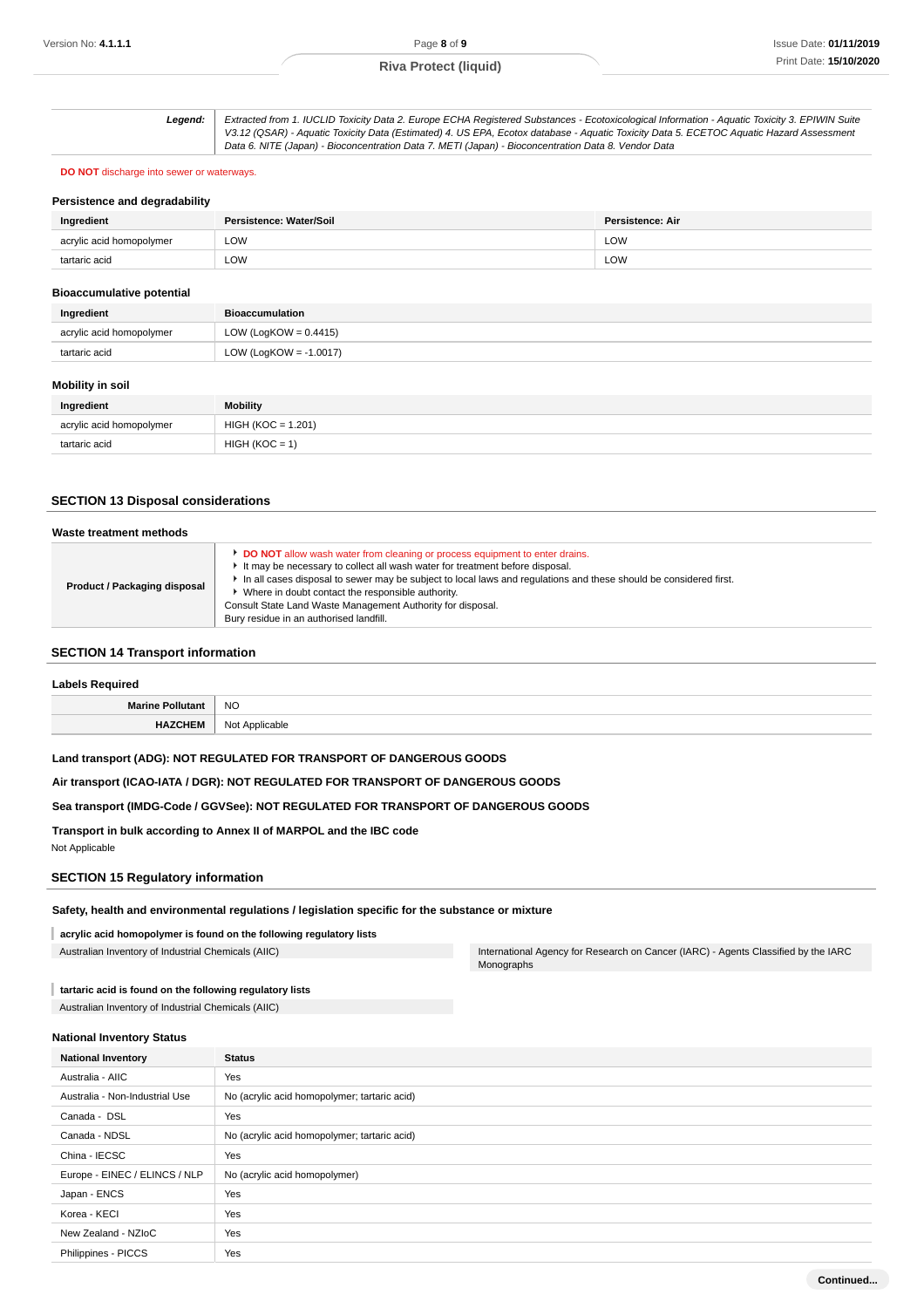| Leaend: I | Extracted from 1. IUCLID Toxicity Data 2. Europe ECHA Registered Substances - Ecotoxicological Information - Aquatic Toxicity 3. EPIWIN Suite |
|-----------|-----------------------------------------------------------------------------------------------------------------------------------------------|
|           | V3.12 (QSAR) - Aquatic Toxicity Data (Estimated) 4. US EPA, Ecotox database - Aquatic Toxicity Data 5. ECETOC Aquatic Hazard Assessment       |
|           | Data 6. NITE (Japan) - Bioconcentration Data 7. METI (Japan) - Bioconcentration Data 8. Vendor Data                                           |

### **DO NOT** discharge into sewer or waterways.

### **Persistence and degradability**

| Ingredient               | Persistence: Water/Soil | Persistence: Air |
|--------------------------|-------------------------|------------------|
| acrylic acid homopolymer | LOW                     | LOW              |
| tartaric acid            | LOW                     | <b>LOW</b>       |

### **Bioaccumulative potential**

| Ingredient               | <b>Bioaccumulation</b>    |  |
|--------------------------|---------------------------|--|
| acrylic acid homopolymer | LOW (LogKOW = $0.4415$ )  |  |
| tartaric acid            | LOW (LogKOW = $-1.0017$ ) |  |

# **Mobility in soil**

| Ingredient               | <b>Mobility</b>      |  |
|--------------------------|----------------------|--|
| acrylic acid homopolymer | $HIGH (KOC = 1.201)$ |  |
| tartaric acid            | $HIGH (KOC = 1)$     |  |

### **SECTION 13 Disposal considerations**

| Waste treatment methods      |                                                                                                                                                                                                                                                                                                                                                                                                                                                          |
|------------------------------|----------------------------------------------------------------------------------------------------------------------------------------------------------------------------------------------------------------------------------------------------------------------------------------------------------------------------------------------------------------------------------------------------------------------------------------------------------|
| Product / Packaging disposal | <b>DO NOT</b> allow wash water from cleaning or process equipment to enter drains.<br>It may be necessary to collect all wash water for treatment before disposal.<br>In all cases disposal to sewer may be subject to local laws and regulations and these should be considered first.<br>• Where in doubt contact the responsible authority.<br>Consult State Land Waste Management Authority for disposal.<br>Bury residue in an authorised landfill. |

# **SECTION 14 Transport information**

| <b>Labels Required</b>  |                |  |
|-------------------------|----------------|--|
| <b>Marine Pollutant</b> | <b>NO</b>      |  |
| <b>HAZCHEM</b>          | Not Applicable |  |

### **Land transport (ADG): NOT REGULATED FOR TRANSPORT OF DANGEROUS GOODS**

**Air transport (ICAO-IATA / DGR): NOT REGULATED FOR TRANSPORT OF DANGEROUS GOODS**

### **Sea transport (IMDG-Code / GGVSee): NOT REGULATED FOR TRANSPORT OF DANGEROUS GOODS**

**Transport in bulk according to Annex II of MARPOL and the IBC code** Not Applicable

# **SECTION 15 Regulatory information**

### **Safety, health and environmental regulations / legislation specific for the substance or mixture**

**acrylic acid homopolymer is found on the following regulatory lists**

Australian Inventory of Industrial Chemicals (AIIC) **International Agency for Research on Cancer (IARC)** - Agents Classified by the IARC Monographs

**tartaric acid is found on the following regulatory lists**

Australian Inventory of Industrial Chemicals (AIIC)

### **National Inventory Status**

| <b>National Inventory</b>      | <b>Status</b>                                |  |  |
|--------------------------------|----------------------------------------------|--|--|
| Australia - AIIC               | Yes                                          |  |  |
| Australia - Non-Industrial Use | No (acrylic acid homopolymer; tartaric acid) |  |  |
| Canada - DSL                   | Yes                                          |  |  |
| Canada - NDSL                  | No (acrylic acid homopolymer; tartaric acid) |  |  |
| China - IECSC                  | Yes                                          |  |  |
| Europe - EINEC / ELINCS / NLP  | No (acrylic acid homopolymer)                |  |  |
| Japan - ENCS                   | Yes                                          |  |  |
| Korea - KECI                   | Yes                                          |  |  |
| New Zealand - NZIoC            | Yes                                          |  |  |
| Philippines - PICCS            | Yes                                          |  |  |